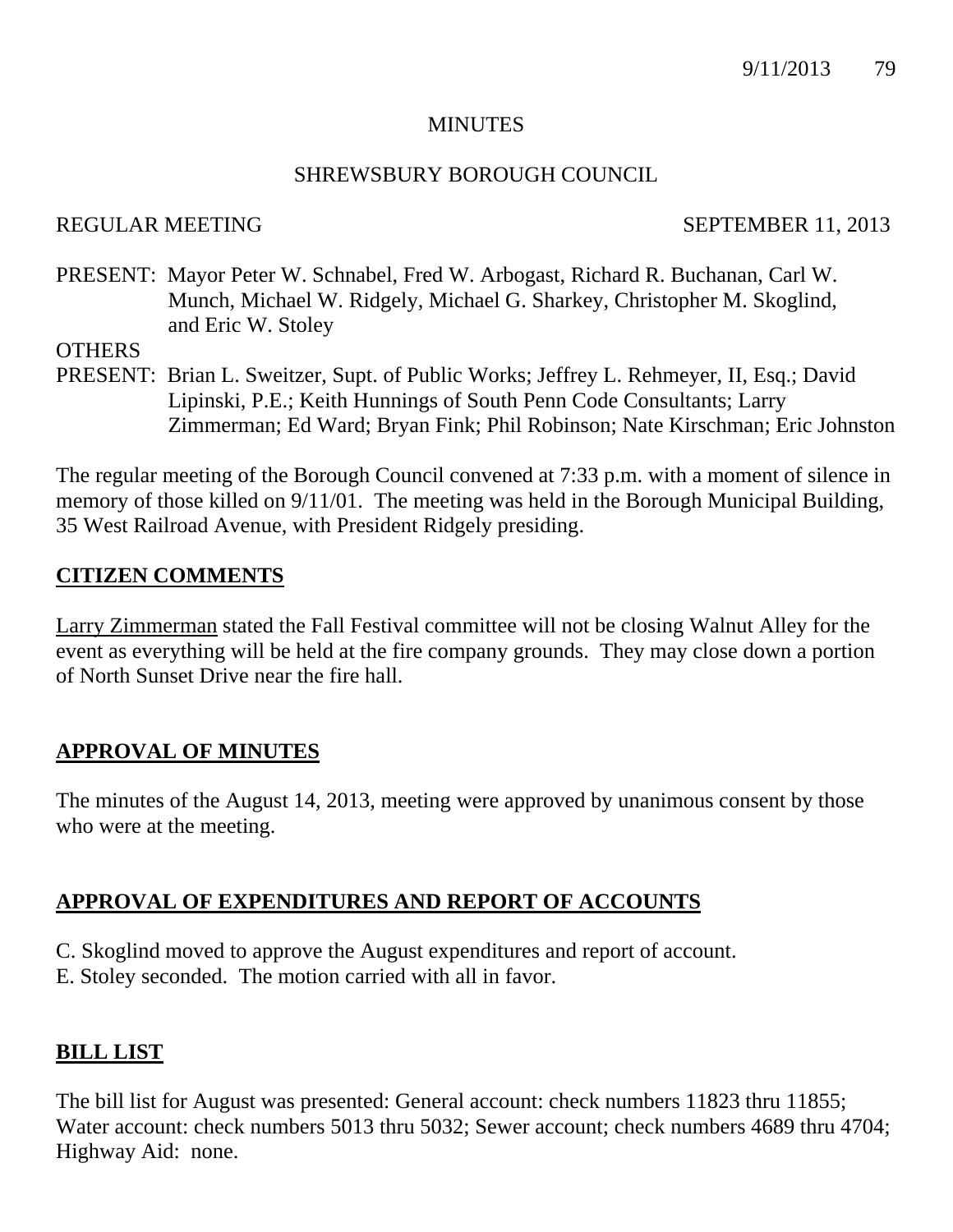### **MINUTES**

#### SHREWSBURY BOROUGH COUNCIL

## REGULAR MEETING SEPTEMBER 11, 2013

PRESENT: Mayor Peter W. Schnabel, Fred W. Arbogast, Richard R. Buchanan, Carl W. Munch, Michael W. Ridgely, Michael G. Sharkey, Christopher M. Skoglind, and Eric W. Stoley

**OTHERS** 

PRESENT: Brian L. Sweitzer, Supt. of Public Works; Jeffrey L. Rehmeyer, II, Esq.; David Lipinski, P.E.; Keith Hunnings of South Penn Code Consultants; Larry Zimmerman; Ed Ward; Bryan Fink; Phil Robinson; Nate Kirschman; Eric Johnston

The regular meeting of the Borough Council convened at 7:33 p.m. with a moment of silence in memory of those killed on 9/11/01. The meeting was held in the Borough Municipal Building, 35 West Railroad Avenue, with President Ridgely presiding.

## **CITIZEN COMMENTS**

Larry Zimmerman stated the Fall Festival committee will not be closing Walnut Alley for the event as everything will be held at the fire company grounds. They may close down a portion of North Sunset Drive near the fire hall.

## **APPROVAL OF MINUTES**

The minutes of the August 14, 2013, meeting were approved by unanimous consent by those who were at the meeting.

## **APPROVAL OF EXPENDITURES AND REPORT OF ACCOUNTS**

C. Skoglind moved to approve the August expenditures and report of account. E. Stoley seconded. The motion carried with all in favor.

## **BILL LIST**

The bill list for August was presented: General account: check numbers 11823 thru 11855; Water account: check numbers 5013 thru 5032; Sewer account; check numbers 4689 thru 4704; Highway Aid: none.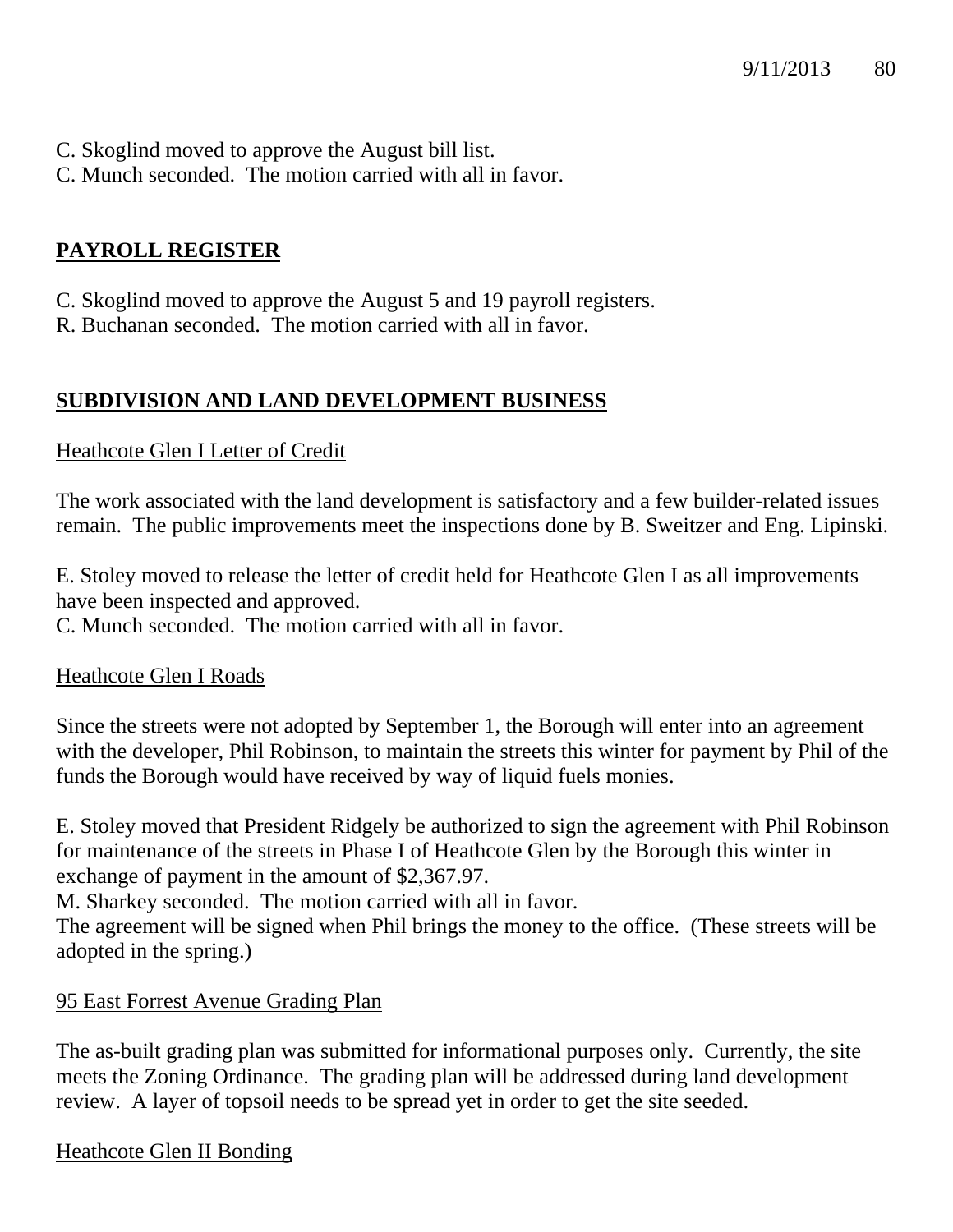- C. Skoglind moved to approve the August bill list.
- C. Munch seconded. The motion carried with all in favor.

# **PAYROLL REGISTER**

C. Skoglind moved to approve the August 5 and 19 payroll registers.

R. Buchanan seconded. The motion carried with all in favor.

# **SUBDIVISION AND LAND DEVELOPMENT BUSINESS**

## Heathcote Glen I Letter of Credit

The work associated with the land development is satisfactory and a few builder-related issues remain. The public improvements meet the inspections done by B. Sweitzer and Eng. Lipinski.

E. Stoley moved to release the letter of credit held for Heathcote Glen I as all improvements have been inspected and approved.

C. Munch seconded. The motion carried with all in favor.

## Heathcote Glen I Roads

Since the streets were not adopted by September 1, the Borough will enter into an agreement with the developer, Phil Robinson, to maintain the streets this winter for payment by Phil of the funds the Borough would have received by way of liquid fuels monies.

E. Stoley moved that President Ridgely be authorized to sign the agreement with Phil Robinson for maintenance of the streets in Phase I of Heathcote Glen by the Borough this winter in exchange of payment in the amount of \$2,367.97.

M. Sharkey seconded. The motion carried with all in favor.

The agreement will be signed when Phil brings the money to the office. (These streets will be adopted in the spring.)

## 95 East Forrest Avenue Grading Plan

The as-built grading plan was submitted for informational purposes only. Currently, the site meets the Zoning Ordinance. The grading plan will be addressed during land development review. A layer of topsoil needs to be spread yet in order to get the site seeded.

## Heathcote Glen II Bonding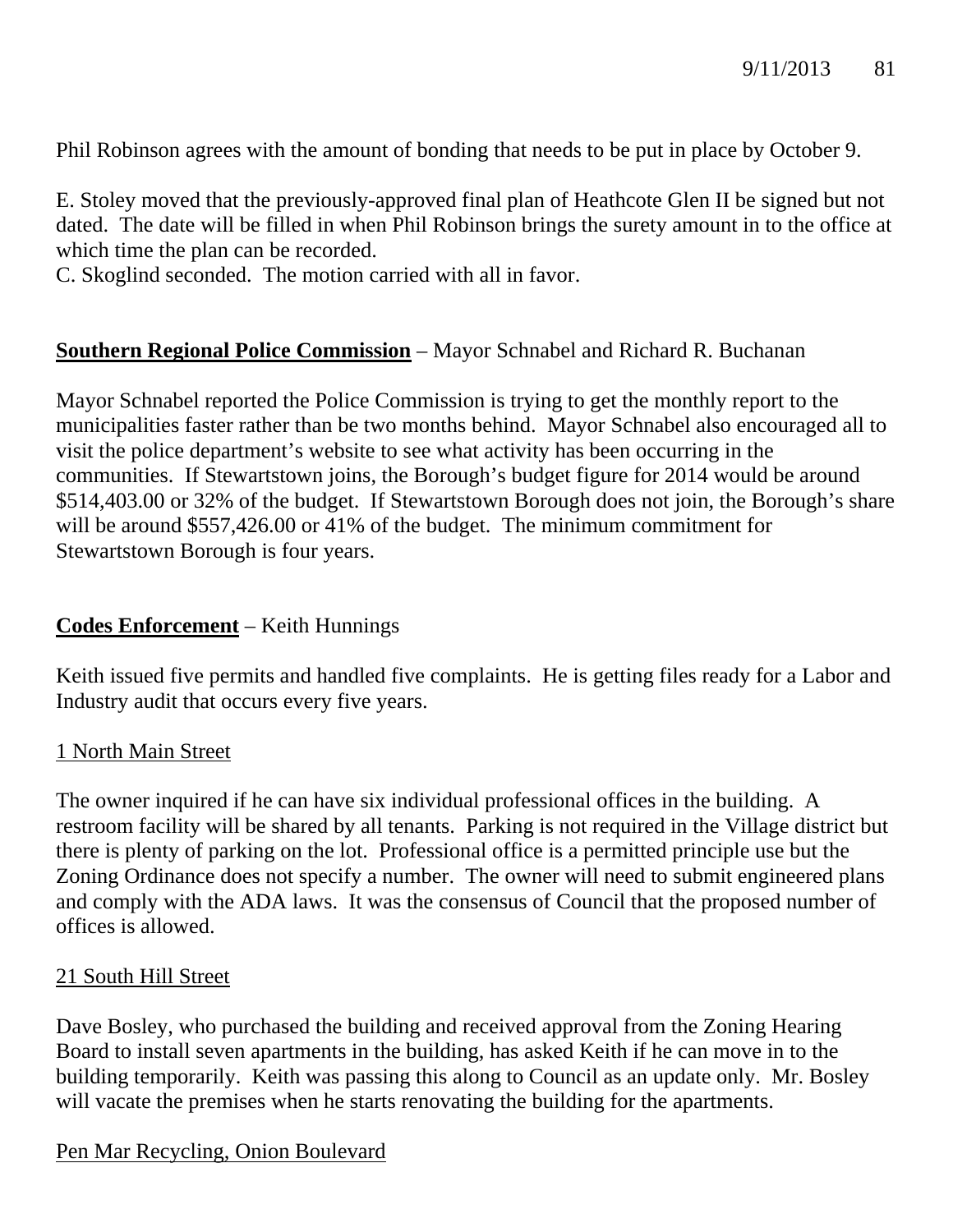Phil Robinson agrees with the amount of bonding that needs to be put in place by October 9.

E. Stoley moved that the previously-approved final plan of Heathcote Glen II be signed but not dated. The date will be filled in when Phil Robinson brings the surety amount in to the office at which time the plan can be recorded.

C. Skoglind seconded. The motion carried with all in favor.

## **Southern Regional Police Commission** – Mayor Schnabel and Richard R. Buchanan

Mayor Schnabel reported the Police Commission is trying to get the monthly report to the municipalities faster rather than be two months behind. Mayor Schnabel also encouraged all to visit the police department's website to see what activity has been occurring in the communities. If Stewartstown joins, the Borough's budget figure for 2014 would be around \$514,403.00 or 32% of the budget. If Stewartstown Borough does not join, the Borough's share will be around \$557,426.00 or 41% of the budget. The minimum commitment for Stewartstown Borough is four years.

## **Codes Enforcement** – Keith Hunnings

Keith issued five permits and handled five complaints. He is getting files ready for a Labor and Industry audit that occurs every five years.

## 1 North Main Street

The owner inquired if he can have six individual professional offices in the building. A restroom facility will be shared by all tenants. Parking is not required in the Village district but there is plenty of parking on the lot. Professional office is a permitted principle use but the Zoning Ordinance does not specify a number. The owner will need to submit engineered plans and comply with the ADA laws. It was the consensus of Council that the proposed number of offices is allowed.

#### 21 South Hill Street

Dave Bosley, who purchased the building and received approval from the Zoning Hearing Board to install seven apartments in the building, has asked Keith if he can move in to the building temporarily. Keith was passing this along to Council as an update only. Mr. Bosley will vacate the premises when he starts renovating the building for the apartments.

## Pen Mar Recycling, Onion Boulevard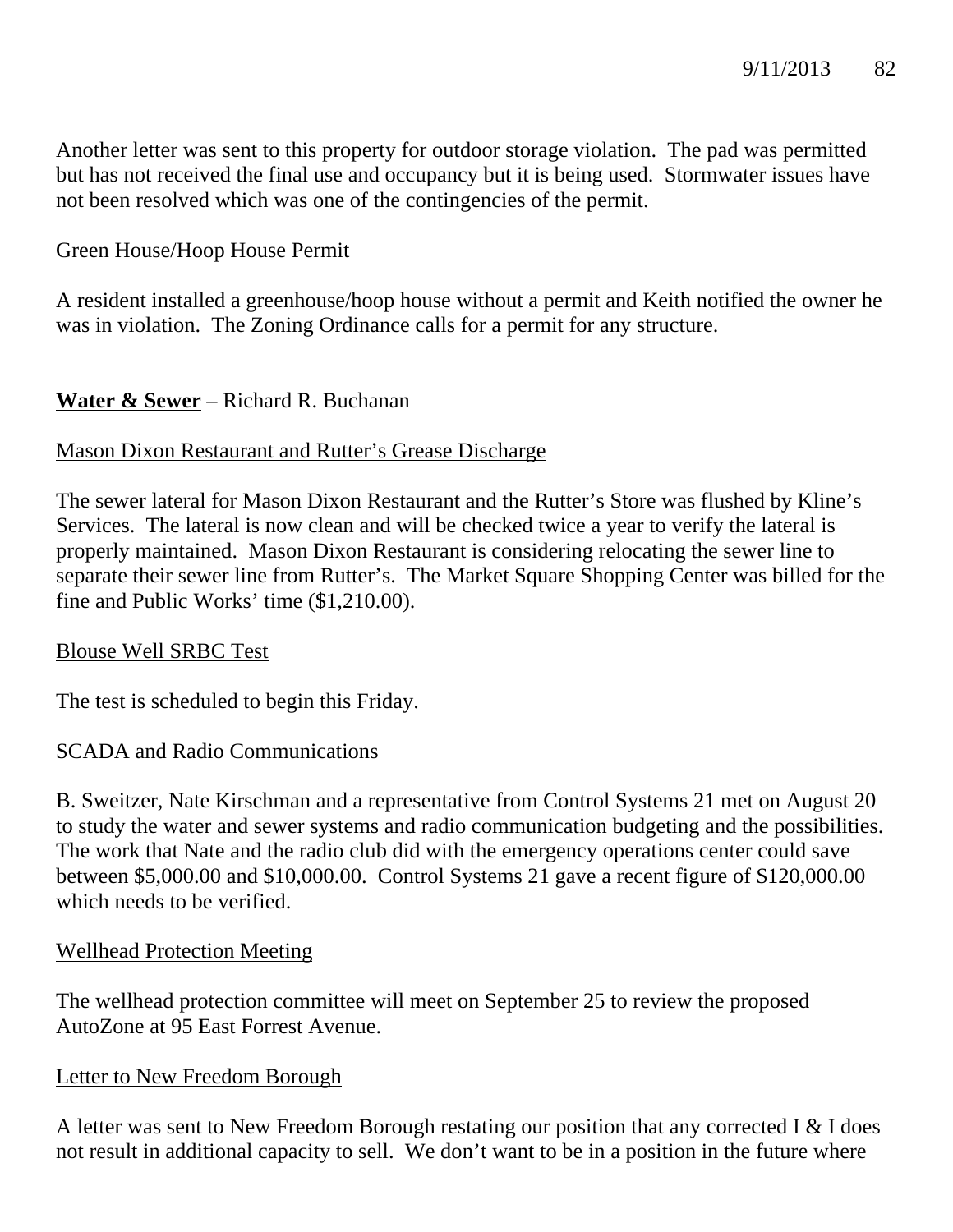Another letter was sent to this property for outdoor storage violation. The pad was permitted but has not received the final use and occupancy but it is being used. Stormwater issues have not been resolved which was one of the contingencies of the permit.

## Green House/Hoop House Permit

A resident installed a greenhouse/hoop house without a permit and Keith notified the owner he was in violation. The Zoning Ordinance calls for a permit for any structure.

## **Water & Sewer** – Richard R. Buchanan

### Mason Dixon Restaurant and Rutter's Grease Discharge

The sewer lateral for Mason Dixon Restaurant and the Rutter's Store was flushed by Kline's Services. The lateral is now clean and will be checked twice a year to verify the lateral is properly maintained. Mason Dixon Restaurant is considering relocating the sewer line to separate their sewer line from Rutter's. The Market Square Shopping Center was billed for the fine and Public Works' time (\$1,210.00).

#### Blouse Well SRBC Test

The test is scheduled to begin this Friday.

## SCADA and Radio Communications

B. Sweitzer, Nate Kirschman and a representative from Control Systems 21 met on August 20 to study the water and sewer systems and radio communication budgeting and the possibilities. The work that Nate and the radio club did with the emergency operations center could save between \$5,000.00 and \$10,000.00. Control Systems 21 gave a recent figure of \$120,000.00 which needs to be verified.

## Wellhead Protection Meeting

The wellhead protection committee will meet on September 25 to review the proposed AutoZone at 95 East Forrest Avenue.

## Letter to New Freedom Borough

A letter was sent to New Freedom Borough restating our position that any corrected I & I does not result in additional capacity to sell. We don't want to be in a position in the future where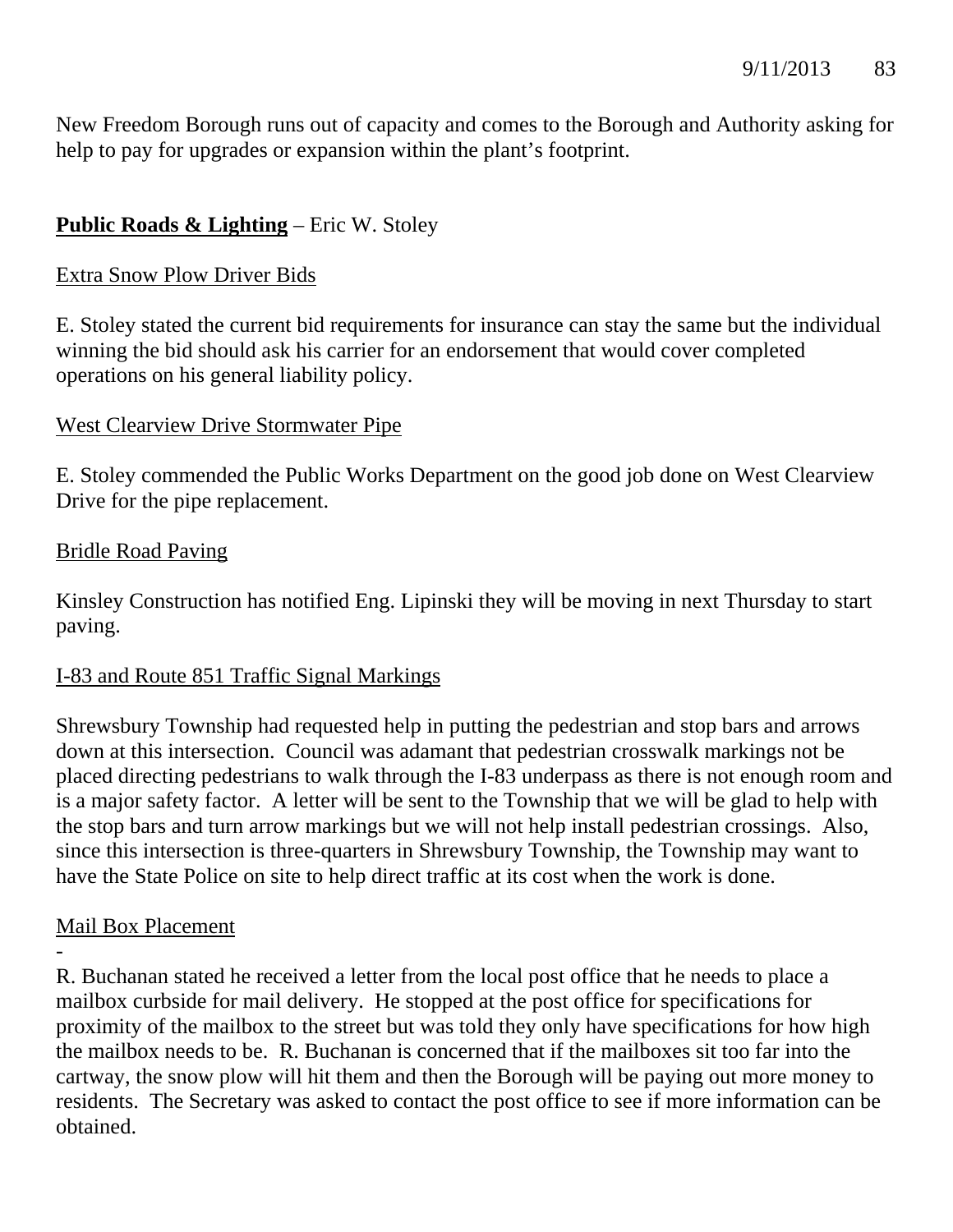New Freedom Borough runs out of capacity and comes to the Borough and Authority asking for help to pay for upgrades or expansion within the plant's footprint.

## **Public Roads & Lighting** – Eric W. Stoley

### Extra Snow Plow Driver Bids

E. Stoley stated the current bid requirements for insurance can stay the same but the individual winning the bid should ask his carrier for an endorsement that would cover completed operations on his general liability policy.

### West Clearview Drive Stormwater Pipe

E. Stoley commended the Public Works Department on the good job done on West Clearview Drive for the pipe replacement.

#### Bridle Road Paving

Kinsley Construction has notified Eng. Lipinski they will be moving in next Thursday to start paving.

## I-83 and Route 851 Traffic Signal Markings

Shrewsbury Township had requested help in putting the pedestrian and stop bars and arrows down at this intersection. Council was adamant that pedestrian crosswalk markings not be placed directing pedestrians to walk through the I-83 underpass as there is not enough room and is a major safety factor. A letter will be sent to the Township that we will be glad to help with the stop bars and turn arrow markings but we will not help install pedestrian crossings. Also, since this intersection is three-quarters in Shrewsbury Township, the Township may want to have the State Police on site to help direct traffic at its cost when the work is done.

## Mail Box Placement

-

R. Buchanan stated he received a letter from the local post office that he needs to place a mailbox curbside for mail delivery. He stopped at the post office for specifications for proximity of the mailbox to the street but was told they only have specifications for how high the mailbox needs to be. R. Buchanan is concerned that if the mailboxes sit too far into the cartway, the snow plow will hit them and then the Borough will be paying out more money to residents. The Secretary was asked to contact the post office to see if more information can be obtained.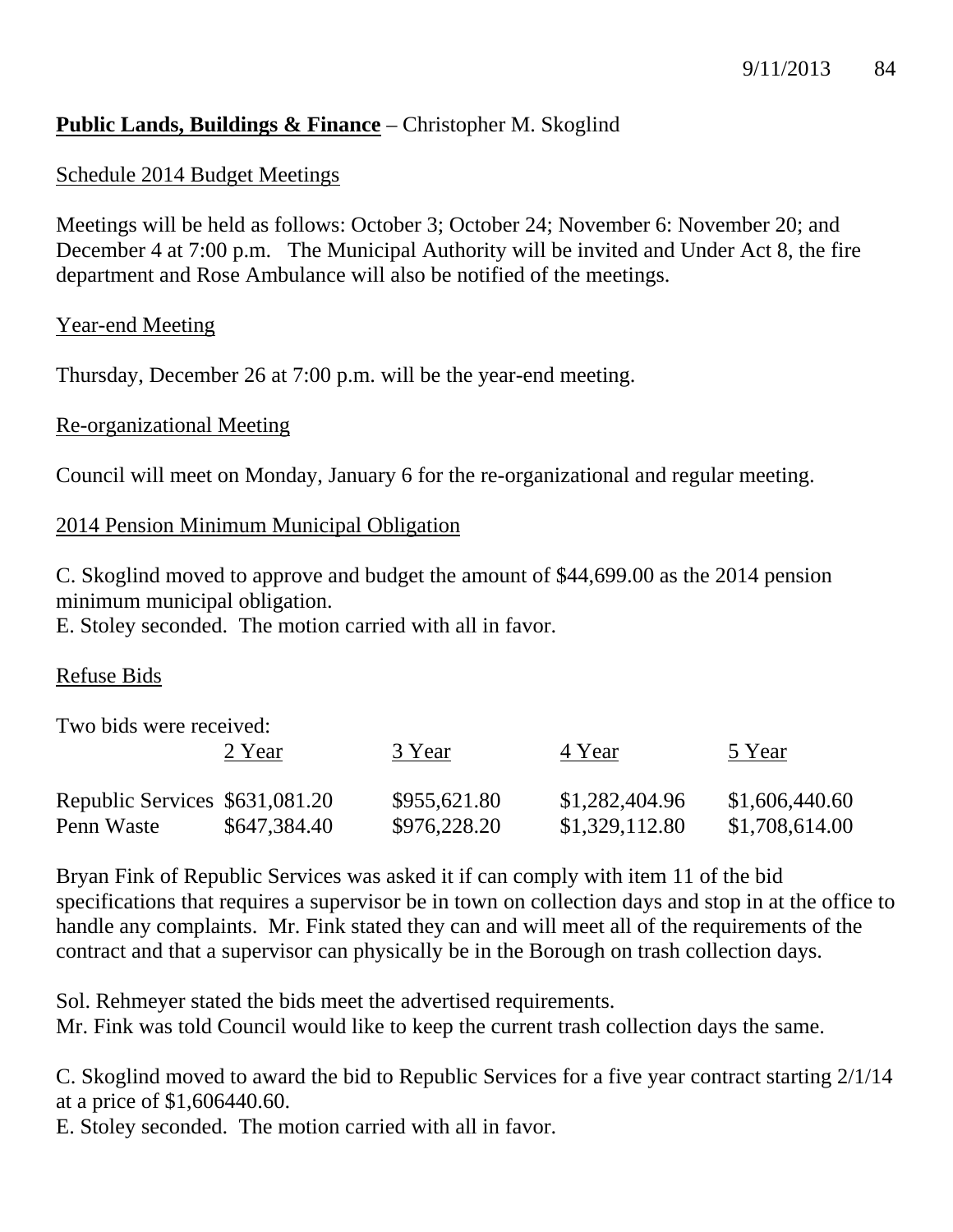## **Public Lands, Buildings & Finance** – Christopher M. Skoglind

### Schedule 2014 Budget Meetings

Meetings will be held as follows: October 3; October 24; November 6: November 20; and December 4 at 7:00 p.m. The Municipal Authority will be invited and Under Act 8, the fire department and Rose Ambulance will also be notified of the meetings.

#### Year-end Meeting

Thursday, December 26 at 7:00 p.m. will be the year-end meeting.

#### Re-organizational Meeting

Council will meet on Monday, January 6 for the re-organizational and regular meeting.

#### 2014 Pension Minimum Municipal Obligation

C. Skoglind moved to approve and budget the amount of \$44,699.00 as the 2014 pension minimum municipal obligation.

E. Stoley seconded. The motion carried with all in favor.

#### Refuse Bids

Two bids were received:

|                                | 2 Year       | 3 Year       | 4 Year         | 5 Year         |
|--------------------------------|--------------|--------------|----------------|----------------|
| Republic Services \$631,081.20 |              | \$955,621.80 | \$1,282,404.96 | \$1,606,440.60 |
| Penn Waste                     | \$647,384.40 | \$976,228.20 | \$1,329,112.80 | \$1,708,614.00 |

Bryan Fink of Republic Services was asked it if can comply with item 11 of the bid specifications that requires a supervisor be in town on collection days and stop in at the office to handle any complaints. Mr. Fink stated they can and will meet all of the requirements of the contract and that a supervisor can physically be in the Borough on trash collection days.

Sol. Rehmeyer stated the bids meet the advertised requirements.

Mr. Fink was told Council would like to keep the current trash collection days the same.

C. Skoglind moved to award the bid to Republic Services for a five year contract starting 2/1/14 at a price of \$1,606440.60.

E. Stoley seconded. The motion carried with all in favor.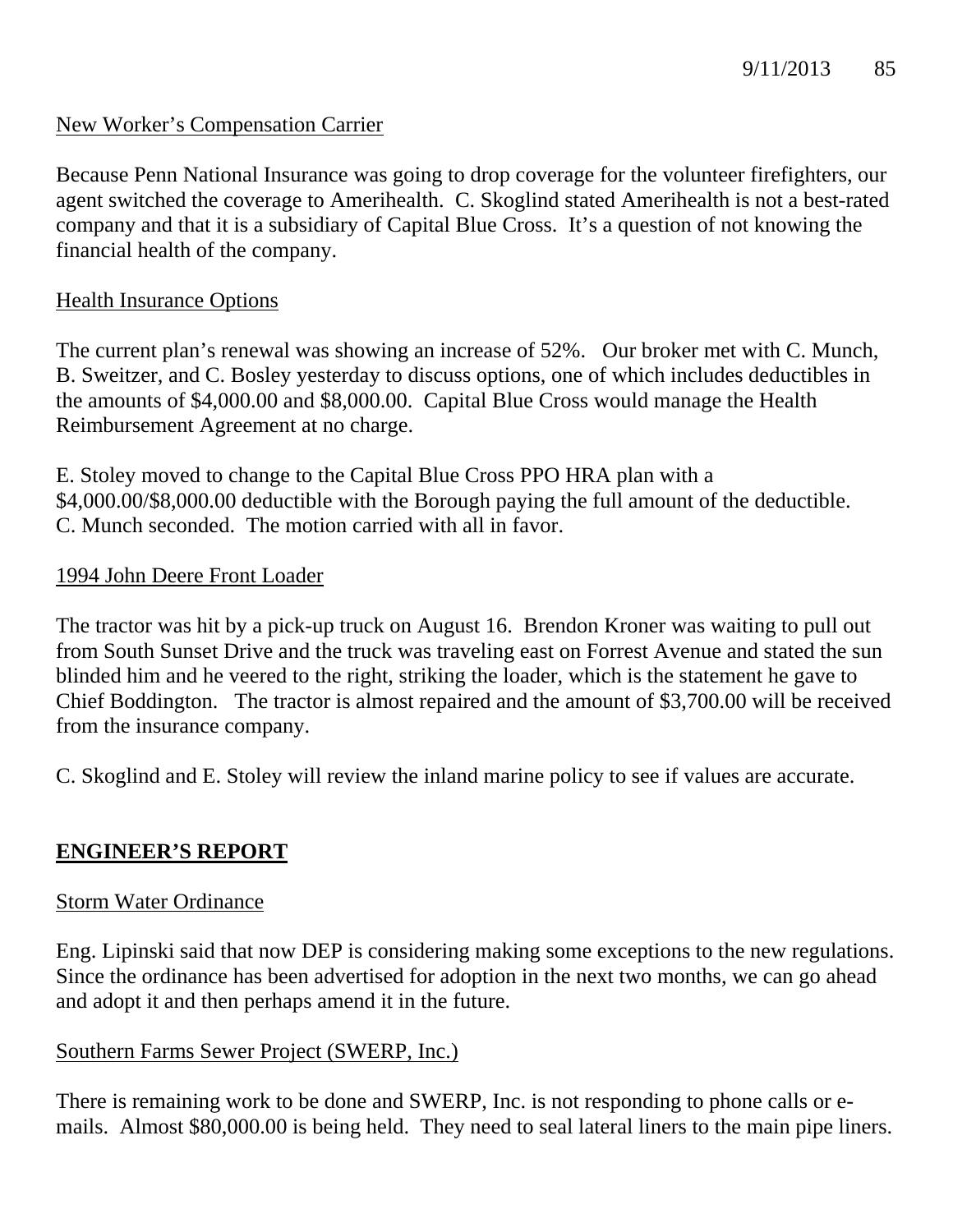## New Worker's Compensation Carrier

Because Penn National Insurance was going to drop coverage for the volunteer firefighters, our agent switched the coverage to Amerihealth. C. Skoglind stated Amerihealth is not a best-rated company and that it is a subsidiary of Capital Blue Cross. It's a question of not knowing the financial health of the company.

## Health Insurance Options

The current plan's renewal was showing an increase of 52%. Our broker met with C. Munch, B. Sweitzer, and C. Bosley yesterday to discuss options, one of which includes deductibles in the amounts of \$4,000.00 and \$8,000.00. Capital Blue Cross would manage the Health Reimbursement Agreement at no charge.

E. Stoley moved to change to the Capital Blue Cross PPO HRA plan with a \$4,000.00/\$8,000.00 deductible with the Borough paying the full amount of the deductible. C. Munch seconded. The motion carried with all in favor.

### 1994 John Deere Front Loader

The tractor was hit by a pick-up truck on August 16. Brendon Kroner was waiting to pull out from South Sunset Drive and the truck was traveling east on Forrest Avenue and stated the sun blinded him and he veered to the right, striking the loader, which is the statement he gave to Chief Boddington. The tractor is almost repaired and the amount of \$3,700.00 will be received from the insurance company.

C. Skoglind and E. Stoley will review the inland marine policy to see if values are accurate.

## **ENGINEER'S REPORT**

#### Storm Water Ordinance

Eng. Lipinski said that now DEP is considering making some exceptions to the new regulations. Since the ordinance has been advertised for adoption in the next two months, we can go ahead and adopt it and then perhaps amend it in the future.

## Southern Farms Sewer Project (SWERP, Inc.)

There is remaining work to be done and SWERP, Inc. is not responding to phone calls or emails. Almost \$80,000.00 is being held. They need to seal lateral liners to the main pipe liners.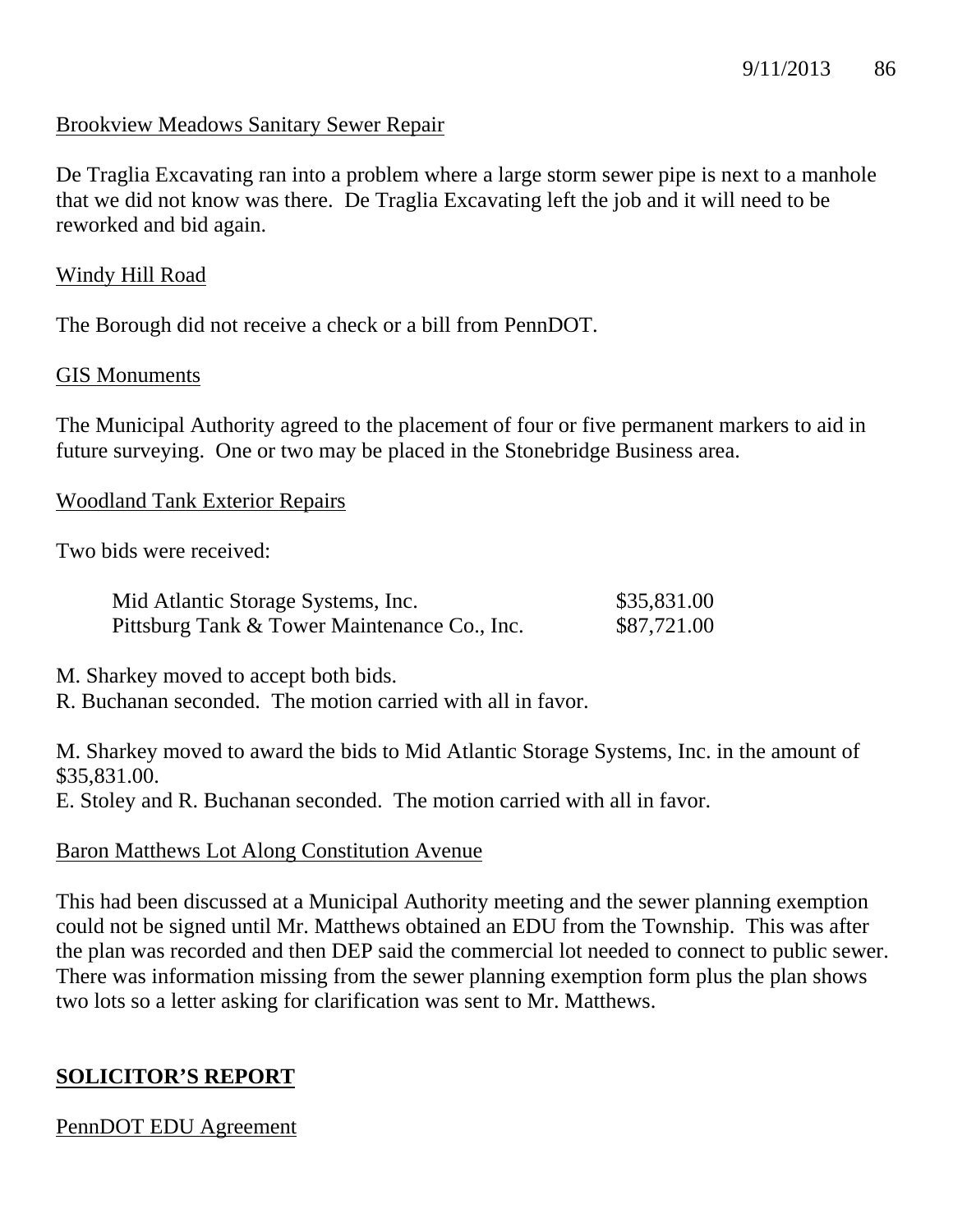### Brookview Meadows Sanitary Sewer Repair

De Traglia Excavating ran into a problem where a large storm sewer pipe is next to a manhole that we did not know was there. De Traglia Excavating left the job and it will need to be reworked and bid again.

#### Windy Hill Road

The Borough did not receive a check or a bill from PennDOT.

#### GIS Monuments

The Municipal Authority agreed to the placement of four or five permanent markers to aid in future surveying. One or two may be placed in the Stonebridge Business area.

#### Woodland Tank Exterior Repairs

Two bids were received:

| Mid Atlantic Storage Systems, Inc.           | \$35,831.00 |
|----------------------------------------------|-------------|
| Pittsburg Tank & Tower Maintenance Co., Inc. | \$87,721.00 |

M. Sharkey moved to accept both bids.

R. Buchanan seconded. The motion carried with all in favor.

M. Sharkey moved to award the bids to Mid Atlantic Storage Systems, Inc. in the amount of \$35,831.00.

E. Stoley and R. Buchanan seconded. The motion carried with all in favor.

#### Baron Matthews Lot Along Constitution Avenue

This had been discussed at a Municipal Authority meeting and the sewer planning exemption could not be signed until Mr. Matthews obtained an EDU from the Township. This was after the plan was recorded and then DEP said the commercial lot needed to connect to public sewer. There was information missing from the sewer planning exemption form plus the plan shows two lots so a letter asking for clarification was sent to Mr. Matthews.

## **SOLICITOR'S REPORT**

#### PennDOT EDU Agreement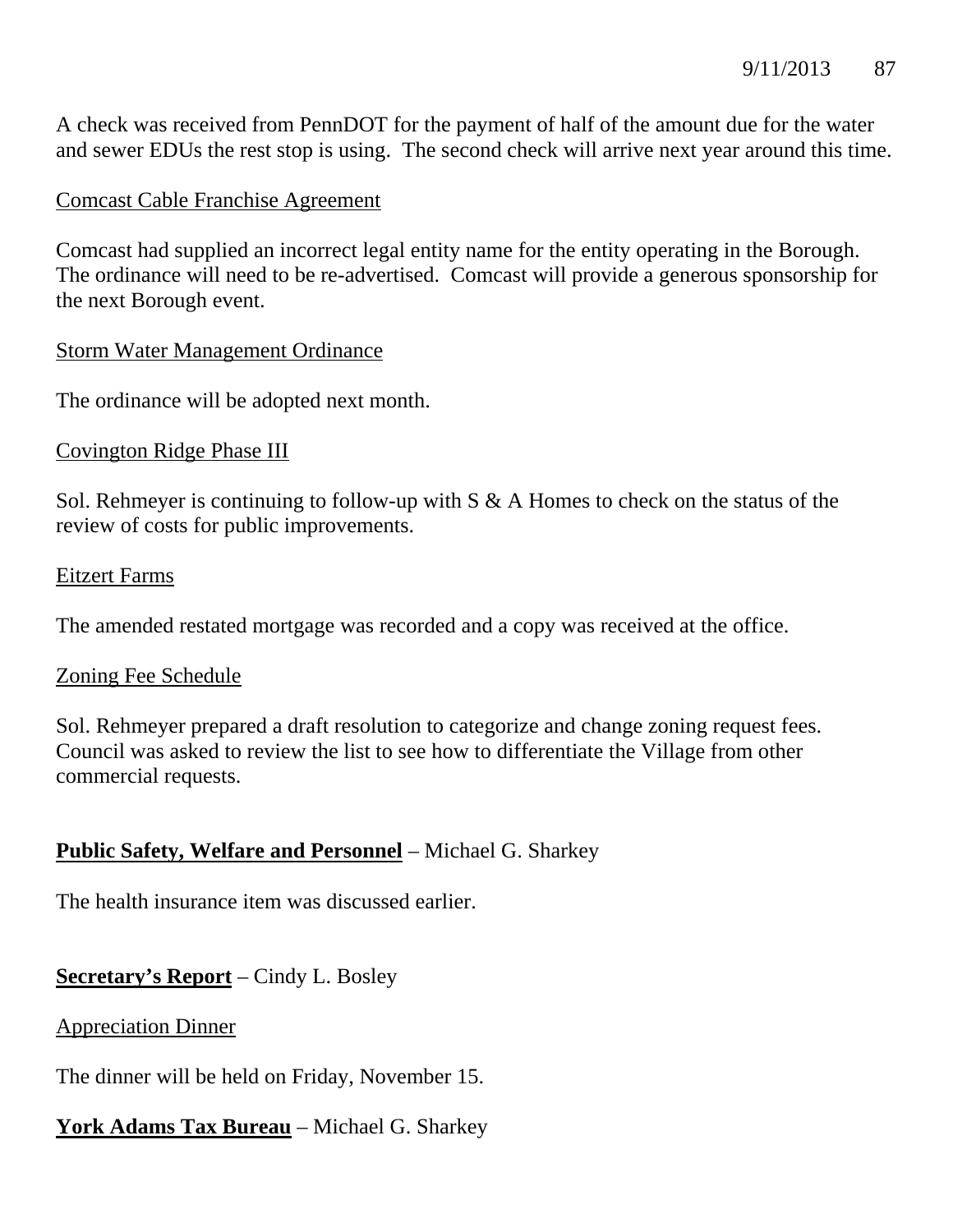A check was received from PennDOT for the payment of half of the amount due for the water and sewer EDUs the rest stop is using. The second check will arrive next year around this time.

## Comcast Cable Franchise Agreement

Comcast had supplied an incorrect legal entity name for the entity operating in the Borough. The ordinance will need to be re-advertised. Comcast will provide a generous sponsorship for the next Borough event.

### Storm Water Management Ordinance

The ordinance will be adopted next month.

### Covington Ridge Phase III

Sol. Rehmeyer is continuing to follow-up with  $S \& A$  Homes to check on the status of the review of costs for public improvements.

#### Eitzert Farms

The amended restated mortgage was recorded and a copy was received at the office.

#### Zoning Fee Schedule

Sol. Rehmeyer prepared a draft resolution to categorize and change zoning request fees. Council was asked to review the list to see how to differentiate the Village from other commercial requests.

## **Public Safety, Welfare and Personnel** – Michael G. Sharkey

The health insurance item was discussed earlier.

## **Secretary's Report** – Cindy L. Bosley

## Appreciation Dinner

The dinner will be held on Friday, November 15.

# **York Adams Tax Bureau** – Michael G. Sharkey